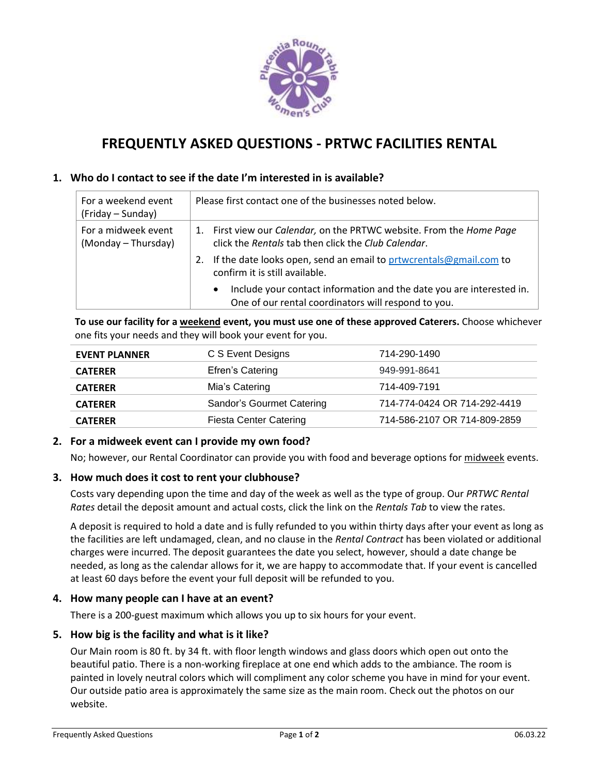

# **FREQUENTLY ASKED QUESTIONS - PRTWC FACILITIES RENTAL**

# **1. Who do I contact to see if the date I'm interested in is available?**

| For a weekend event<br>(Friday – Sunday)   | Please first contact one of the businesses noted below.                                                                                  |
|--------------------------------------------|------------------------------------------------------------------------------------------------------------------------------------------|
| For a midweek event<br>(Monday – Thursday) | 1. First view our Calendar, on the PRTWC website. From the Home Page<br>click the Rentals tab then click the Club Calendar.              |
|                                            | If the date looks open, send an email to prtwcrentals@gmail.com to<br>2.<br>confirm it is still available.                               |
|                                            | Include your contact information and the date you are interested in.<br>$\bullet$<br>One of our rental coordinators will respond to you. |

**To use our facility for a weekend event, you must use one of these approved Caterers.** Choose whichever one fits your needs and they will book your event for you.

| <b>EVENT PLANNER</b> | C S Event Designs             | 714-290-1490                 |
|----------------------|-------------------------------|------------------------------|
| <b>CATERER</b>       | Efren's Catering              | 949-991-8641                 |
| <b>CATERER</b>       | Mia's Catering                | 714-409-7191                 |
| <b>CATERER</b>       | Sandor's Gourmet Catering     | 714-774-0424 OR 714-292-4419 |
| <b>CATERER</b>       | <b>Fiesta Center Catering</b> | 714-586-2107 OR 714-809-2859 |

## **2. For a midweek event can I provide my own food?**

No; however, our Rental Coordinator can provide you with food and beverage options for midweek events.

## **3. How much does it cost to rent your clubhouse?**

Costs vary depending upon the time and day of the week as well as the type of group. Our *PRTWC Rental Rates* detail the deposit amount and actual costs, click the link on the *Rentals Tab* to view the rates.

A deposit is required to hold a date and is fully refunded to you within thirty days after your event as long as the facilities are left undamaged, clean, and no clause in the *Rental Contract* has been violated or additional charges were incurred. The deposit guarantees the date you select, however, should a date change be needed, as long as the calendar allows for it, we are happy to accommodate that. If your event is cancelled at least 60 days before the event your full deposit will be refunded to you.

#### **4. How many people can I have at an event?**

There is a 200-guest maximum which allows you up to six hours for your event.

## **5. How big is the facility and what is it like?**

Our Main room is 80 ft. by 34 ft. with floor length windows and glass doors which open out onto the beautiful patio. There is a non-working fireplace at one end which adds to the ambiance. The room is painted in lovely neutral colors which will compliment any color scheme you have in mind for your event. Our outside patio area is approximately the same size as the main room. Check out the photos on our website.